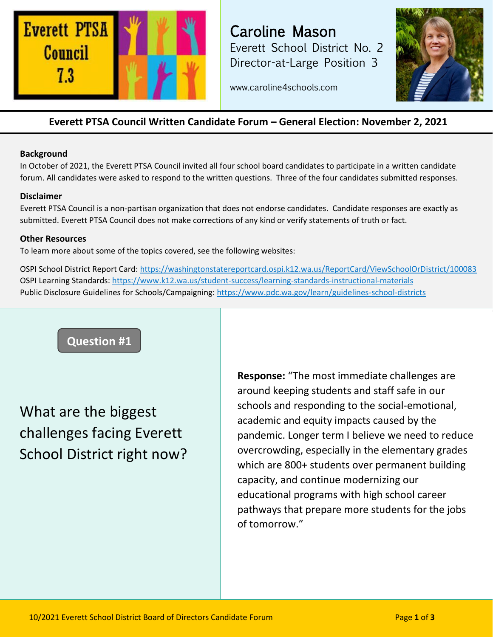

Caroline Mason Everett School District No. 2 Director-at-Large Position 3



www.caroline4schools.com

### **Everett PTSA Council Written Candidate Forum – General Election: November 2, 2021**

#### **Background**

In October of 2021, the Everett PTSA Council invited all four school board candidates to participate in a written candidate forum. All candidates were asked to respond to the written questions. Three of the four candidates submitted responses.

### **Disclaimer**

Everett PTSA Council is a non-partisan organization that does not endorse candidates. Candidate responses are exactly as submitted. Everett PTSA Council does not make corrections of any kind or verify statements of truth or fact.

#### **Other Resources**

To learn more about some of the topics covered, see the following websites:

OSPI School District Report Card:<https://washingtonstatereportcard.ospi.k12.wa.us/ReportCard/ViewSchoolOrDistrict/100083> OSPI Learning Standards:<https://www.k12.wa.us/student-success/learning-standards-instructional-materials> Public Disclosure Guidelines for Schools/Campaigning:<https://www.pdc.wa.gov/learn/guidelines-school-districts>



# What are the biggest challenges facing Everett School District right now?

**Response:** "The most immediate challenges are around keeping students and staff safe in our schools and responding to the social-emotional, academic and equity impacts caused by the pandemic. Longer term I believe we need to reduce overcrowding, especially in the elementary grades which are 800+ students over permanent building capacity, and continue modernizing our educational programs with high school career pathways that prepare more students for the jobs of tomorrow."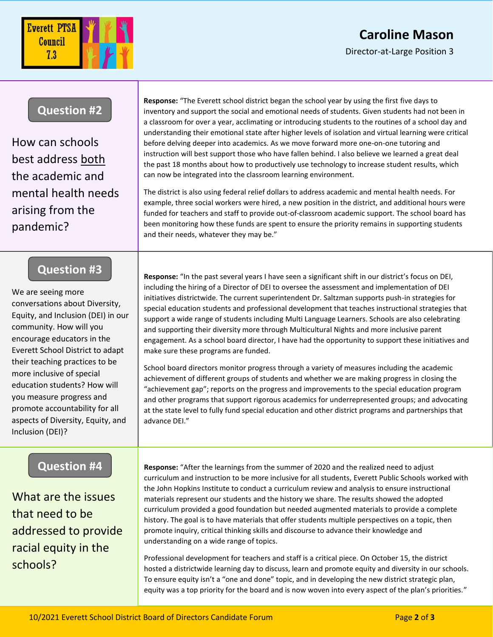# **Caroline Mason**

Director-at-Large Position 3



### **Question #2**

How can schools best address both the academic and mental health needs arising from the pandemic?

## **Question #3**

We are seeing more conversations about Diversity, Equity, and Inclusion (DEI) in our community. How will you encourage educators in the Everett School District to adapt their teaching practices to be more inclusive of special education students? How will you measure progress and promote accountability for all aspects of Diversity, Equity, and Inclusion (DEI)?

### **Question #4**

What are the issues that need to be addressed to provide racial equity in the schools?

**Response:** "The Everett school district began the school year by using the first five days to inventory and support the social and emotional needs of students. Given students had not been in a classroom for over a year, acclimating or introducing students to the routines of a school day and understanding their emotional state after higher levels of isolation and virtual learning were critical before delving deeper into academics. As we move forward more one-on-one tutoring and instruction will best support those who have fallen behind. I also believe we learned a great deal the past 18 months about how to productively use technology to increase student results, which can now be integrated into the classroom learning environment.

The district is also using federal relief dollars to address academic and mental health needs. For example, three social workers were hired, a new position in the district, and additional hours were funded for teachers and staff to provide out-of-classroom academic support. The school board has been monitoring how these funds are spent to ensure the priority remains in supporting students and their needs, whatever they may be."

**Response:** "In the past several years I have seen a significant shift in our district's focus on DEI, including the hiring of a Director of DEI to oversee the assessment and implementation of DEI initiatives districtwide. The current superintendent Dr. Saltzman supports push-in strategies for special education students and professional development that teaches instructional strategies that support a wide range of students including Multi Language Learners. Schools are also celebrating and supporting their diversity more through Multicultural Nights and more inclusive parent engagement. As a school board director, I have had the opportunity to support these initiatives and make sure these programs are funded.

School board directors monitor progress through a variety of measures including the academic achievement of different groups of students and whether we are making progress in closing the "achievement gap"; reports on the progress and improvements to the special education program and other programs that support rigorous academics for underrepresented groups; and advocating at the state level to fully fund special education and other district programs and partnerships that advance DEI."

**Response:** "After the learnings from the summer of 2020 and the realized need to adjust curriculum and instruction to be more inclusive for all students, Everett Public Schools worked with the John Hopkins Institute to conduct a curriculum review and analysis to ensure instructional materials represent our students and the history we share. The results showed the adopted curriculum provided a good foundation but needed augmented materials to provide a complete history. The goal is to have materials that offer students multiple perspectives on a topic, then promote inquiry, critical thinking skills and discourse to advance their knowledge and understanding on a wide range of topics.

Professional development for teachers and staff is a critical piece. On October 15, the district hosted a districtwide learning day to discuss, learn and promote equity and diversity in our schools. To ensure equity isn't a "one and done" topic, and in developing the new district strategic plan, equity was a top priority for the board and is now woven into every aspect of the plan's priorities."